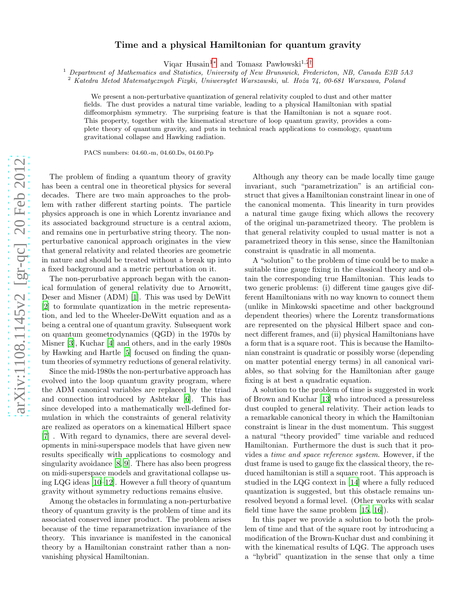## Time and a physical Hamiltonian for quantum gravity

Viqar Husain<sup>1\*</sup> and Tomasz Pawłowski<sup>1,2[†](#page-4-1)</sup>

<sup>1</sup> Department of Mathematics and Statistics, University of New Brunswick, Fredericton, NB, Canada E3B 5A3 <sup>2</sup> Katedra Metod Matematycznych Fizyki, Uniwersytet Warszawski, ul. Hoża 74, 00-681 Warszawa, Poland

We present a non-perturbative quantization of general relativity coupled to dust and other matter fields. The dust provides a natural time variable, leading to a physical Hamiltonian with spatial diffeomorphism symmetry. The surprising feature is that the Hamiltonian is not a square root. This property, together with the kinematical structure of loop quantum gravity, provides a complete theory of quantum gravity, and puts in technical reach applications to cosmology, quantum gravitational collapse and Hawking radiation.

PACS numbers: 04.60.-m, 04.60.Ds, 04.60.Pp

The problem of finding a quantum theory of gravity has been a central one in theoretical physics for several decades. There are two main approaches to the problem with rather different starting points. The particle physics approach is one in which Lorentz invariance and its associated background structure is a central axiom, and remains one in perturbative string theory. The nonperturbative canonical approach originates in the view that general relativity and related theories are geometric in nature and should be treated without a break up into a fixed background and a metric perturbation on it.

The non-perurbative approach began with the canonical formulation of general relativity due to Arnowitt, Deser and Misner (ADM) [\[1](#page-4-2)]. This was used by DeWitt [\[2\]](#page-4-3) to formulate quantization in the metric representation, and led to the Wheeler-DeWitt equation and as a being a central one of quantum gravity. Subsequent work on quantum geometrodynamics (QGD) in the 1970s by Misner [\[3\]](#page-4-4), Kuchar [\[4\]](#page-4-5) and others, and in the early 1980s by Hawking and Hartle [\[5\]](#page-4-6) focused on finding the quantum theories of symmetry reductions of general relativity.

Since the mid-1980s the non-perturbative approach has evolved into the loop quantum gravity program, where the ADM canonical variables are replaced by the triad and connection introduced by Ashtekar [\[6](#page-4-7)]. This has since developed into a mathematically well-defined formulation in which the constraints of general relativity are realized as operators on a kinematical Hilbert space [\[7\]](#page-4-8) . With regard to dynamics, there are several developments in mini-superspace models that have given new results specifically with applications to cosmology and singularity avoidance [\[8,](#page-4-9) [9](#page-4-10)]. There has also been progress on midi-superspace models and gravitational collapse using LQG ideas [\[10](#page-4-11)[–12](#page-4-12)]. However a full theory of quantum gravity without symmetry reductions remains elusive.

Among the obstacles in formulating a non-perturbative theory of quantum gravity is the problem of time and its associated conserved inner product. The problem arises because of the time reparametrization invariance of the theory. This invariance is manifested in the canonical theory by a Hamiltonian constraint rather than a nonvanishing physical Hamiltonian.

Although any theory can be made locally time gauge invariant, such "parametrization" is an artificial construct that gives a Hamiltonian constraint linear in one of the canonical momenta. This linearity in turn provides a natural time gauge fixing which allows the recovery of the original un-parametrized theory. The problem is that general relativity coupled to usual matter is not a parametrized theory in this sense, since the Hamiltonian constraint is quadratic in all momenta.

A "solution" to the problem of time could be to make a suitable time gauge fixing in the classical theory and obtain the corresponding true Hamiltonian. This leads to two generic problems: (i) different time gauges give different Hamiltonians with no way known to connect them (unlike in Minkowski spacetime and other background dependent theories) where the Lorentz transformations are represented on the physical Hilbert space and connect different frames, and (ii) physical Hamiltonians have a form that is a square root. This is because the Hamiltonian constraint is quadratic or possibly worse (depending on matter potential energy terms) in all canonical variables, so that solving for the Hamiltonian after gauge fixing is at best a quadratic equation.

A solution to the problem of time is suggested in work of Brown and Kuchar [\[13\]](#page-4-13) who introduced a pressureless dust coupled to general relativity. Their action leads to a remarkable canonical theory in which the Hamiltonian constraint is linear in the dust momentum. This suggest a natural "theory provided" time variable and reduced Hamiltonian. Furthermore the dust is such that it provides a *time and space reference system*. However, if the dust frame is used to gauge fix the classical theory, the reduced hamiltonian is still a square root. This approach is studied in the LQG context in [\[14\]](#page-4-14) where a fully reduced quantization is suggested, but this obstacle remains unresolved beyond a formal level. (Other works with scalar field time have the same problem [\[15,](#page-4-15) [16\]](#page-4-16)).

In this paper we provide a solution to both the problem of time and that of the square root by introducing a modification of the Brown-Kuchar dust and combining it with the kinematical results of LQG. The approach uses a "hybrid" quantization in the sense that only a time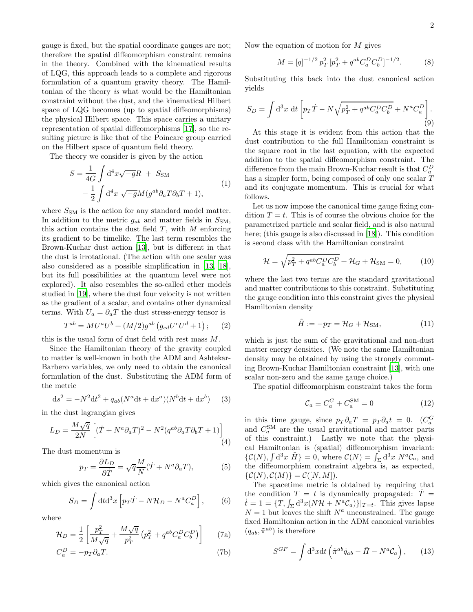gauge is fixed, but the spatial coordinate gauges are not; therefore the spatial diffeomorphism constraint remains in the theory. Combined with the kinematical results of LQG, this approach leads to a complete and rigorous formulation of a quantum gravity theory. The Hamiltonian of the theory *is* what would be the Hamiltonian constraint without the dust, and the kinematical Hilbert space of LQG becomes (up to spatial diffeomorphisms) the physical Hilbert space. This space carries a unitary representation of spatial diffeomorphisms [\[17](#page-4-17)], so the resulting picture is like that of the Poincare group carried on the Hilbert space of quantum field theory.

The theory we consider is given by the action

$$
S = \frac{1}{4G} \int d^4x \sqrt{-g}R + S_{\rm SM}
$$
  

$$
- \frac{1}{2} \int d^4x \sqrt{-g}M(g^{ab}\partial_a T \partial_b T + 1),
$$
 (1)

where  $S_{\text{SM}}$  is the action for any standard model matter. In addition to the metric  $g_{ab}$  and matter fields in  $S_{SM}$ , this action contains the dust field  $T$ , with  $M$  enforcing its gradient to be timelike. The last term resembles the Brown-Kuchar dust action [\[13](#page-4-13)], but is different in that the dust is irrotational. (The action with one scalar was also considered as a possible simplification in [\[13](#page-4-13), [18\]](#page-4-18), but its full possibilities at the quantum level were not explored). It also resembles the so-called ether models studied in [\[19\]](#page-4-19), where the dust four velocity is not written as the gradient of a scalar, and contains other dynamical terms. With  $U_a = \partial_a T$  the dust stress-energy tensor is

$$
T^{ab} = MU^{a}U^{b} + (M/2)g^{ab} (g_{cd}U^{c}U^{d} + 1); \qquad (2)
$$

this is the usual form of dust field with rest mass M.

Since the Hamiltonian theory of the gravity coupled to matter is well-known in both the ADM and Ashtekar-Barbero variables, we only need to obtain the canonical formulation of the dust. Substituting the ADM form of the metric

$$
ds^{2} = -N^{2}dt^{2} + q_{ab}(N^{a}dt + dx^{a})(N^{b}dt + dx^{b})
$$
 (3)

in the dust lagrangian gives

$$
L_D = \frac{M\sqrt{q}}{2N} \left[ (\dot{T} + N^a \partial_a T)^2 - N^2 (q^{ab} \partial_a T \partial_b T + 1) \right]
$$
\n(4)

The dust momentum is

$$
p_T = \frac{\partial L_D}{\partial \dot{T}} = \sqrt{q} \frac{M}{N} (\dot{T} + N^a \partial_a T), \tag{5}
$$

which gives the canonical action

$$
S_D = \int \mathrm{d}t \mathrm{d}^3 x \left[ p_T \dot{T} - N \mathcal{H}_D - N^a C_a^D \right],\qquad(6)
$$

where

$$
\mathcal{H}_D = \frac{1}{2} \left[ \frac{p_T^2}{M\sqrt{q}} + \frac{M\sqrt{q}}{p_T^2} \left( p_T^2 + q^{ab} C_a^D C_b^D \right) \right]
$$
(7a)

$$
C_a^D = -p_T \partial_a T.
$$
 (7b)

Now the equation of motion for  $M$  gives

$$
M = [q]^{-1/2} p_T^2 \left[ p_T^2 + q^{ab} C_a^D C_b^D \right]^{-1/2}.
$$
 (8)

Substituting this back into the dust canonical action yields

$$
S_D = \int \mathrm{d}^3 x \, \mathrm{d}t \left[ p_T \dot{T} - N \sqrt{p_T^2 + q^{ab} C_a^D C_b^D} + N^a C_a^D \right]. \tag{9}
$$

At this stage it is evident from this action that the dust contribution to the full Hamiltonian constraint is the square root in the last equation, with the expected addition to the spatial diffeomorphism constraint. The difference from the main Brown-Kuchar result is that  $C_a^D$ has a simpler form, being composed of only one scalar T and its conjugate momentum. This is crucial for what follows.

Let us now impose the canonical time gauge fixing condition  $T = t$ . This is of course the obvious choice for the parametrized particle and scalar field, and is also natural here; (this gauge is also discussed in [\[18\]](#page-4-18)). This condition is second class with the Hamiltonian constraint

$$
\mathcal{H} = \sqrt{p_T^2 + q^{ab} C_a^D C_b^D} + \mathcal{H}_G + \mathcal{H}_{\rm SM} = 0, \qquad (10)
$$

where the last two terms are the standard gravitational and matter contributions to this constraint. Substituting the gauge condition into this constraint gives the physical Hamiltonian density

<span id="page-1-0"></span>
$$
\tilde{H} := -p_T = \mathcal{H}_G + \mathcal{H}_{\rm SM},\tag{11}
$$

which is just the sum of the gravitational and non-dust matter energy densities. (We note the same Hamiltonian density may be obtained by using the strongly commuting Brown-Kuchar Hamiltonian constraint [\[13](#page-4-13)], with one scalar non-zero and the same gauge choice.)

The spatial diffeomorphism constraint takes the form

$$
\mathcal{C}_a \equiv C_a^G + C_a^{\text{SM}} = 0 \tag{12}
$$

in this time gauge, since  $p_T \partial_a T = p_T \partial_a t = 0$ .  $(C_a^G)$ and  $C_a^{\text{SM}}$  are the usual gravitational and matter parts of this constraint.) Lastly we note that the physical Hamiltonian is (spatial) diffeomorphism invariant:  $\{\mathcal{C}(N), \int d^3x \, \tilde{H}\} = 0$ , where  $\mathcal{C}(N) = \int_{\Sigma} d^3x \, N^a \mathcal{C}_a$ , and the diffeomorphism constraint algebra is, as expected,  $\{\mathcal{C}(N), \mathcal{C}(M)\} = \mathcal{C}([N, M]).$ 

The spacetime metric is obtained by requiring that the condition  $T = t$  is dynamically propagated:  $\dot{T} =$  $\dot{t} = 1 = \{T, \int_{\Sigma} d^3x (N\mathcal{H} + N^a \mathcal{C}_a)\}|_{T=t}$ . This gives lapse  $N = 1$  but leaves the shift  $N^a$  unconstrained. The gauge fixed Hamiltonian action in the ADM canonical variables  $(q_{ab}, \tilde{\pi}^{ab})$  is therefore

$$
S^{GF} = \int d^3x dt \left( \tilde{\pi}^{ab} \dot{q}_{ab} - \tilde{H} - N^a \mathcal{C}_a \right), \qquad (13)
$$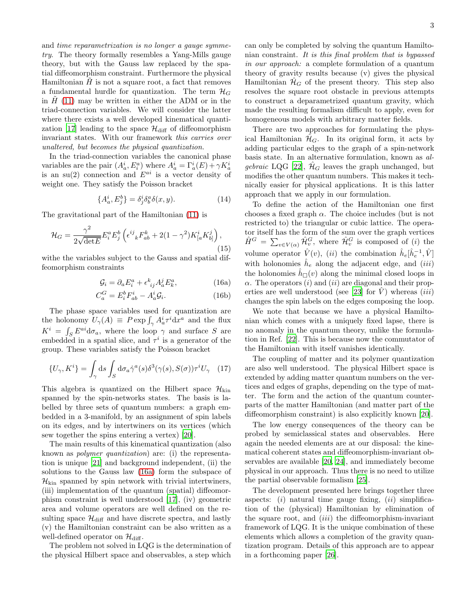and *time reparametrization is no longer a gauge symmetry*. The theory formally resembles a Yang-Mills gauge theory, but with the Gauss law replaced by the spatial diffeomorphism constraint. Furthermore the physical Hamiltonian  $\hat{H}$  is not a square root, a fact that removes a fundamental hurdle for quantization. The term  $\mathcal{H}_G$ in  $\hat{H}$  [\(11\)](#page-1-0) may be written in either the ADM or in the triad-connection variables. We will consider the latter where there exists a well developed kinematical quanti-zation [\[17](#page-4-17)] leading to the space  $\mathcal{H}_{\text{diff}}$  of diffeomorphism invariant states. With our framework *this carries over unaltered, but becomes the physical quantization.*

In the triad-connection variables the canonical phase variables are the pair  $(A_a^i, E_i^a)$  where  $A_a^i = \Gamma_a^i(E) + \gamma K_a^i$ is an su(2) connection and  $E^{ai}$  is a vector density of weight one. They satisfy the Poisson bracket

$$
\{A_a^i, E_j^b\} = \delta_j^i \delta_b^a \delta(x, y). \tag{14}
$$

The gravitational part of the Hamiltonian [\(11\)](#page-1-0) is

$$
\mathcal{H}_G = \frac{\gamma^2}{2\sqrt{\det E}} E_i^a E_j^b \left( \epsilon^{ij}_{\ \ k} F_{ab}^k + 2(1 - \gamma^2) K_{[a}^i K_{b]}^j \right),\tag{15}
$$

withe the variables subject to the Gauss and spatial diffeomorphism constraints

$$
\mathcal{G}_i = \partial_a E_i^a + \epsilon^k_{\ ij} A_a^j E_k^a,\tag{16a}
$$

$$
C_a^G = E_i^b F_{ab}^i - A_a^i \mathcal{G}_i. \tag{16b}
$$

The phase space variables used for quantization are the holonomy  $U_{\gamma}(A) \equiv P \exp \int_{\gamma} A_a^i \tau^i dx^a$  and the flux  $K^i = \int_S E^{ai} \mathrm{d}\sigma_a$ , where the loop  $\gamma$  and surface S are embedded in a spatial slice, and  $\tau^i$  is a generator of the group. These variables satisfy the Poisson bracket

$$
\{U_{\gamma}, K^{i}\} = \int_{\gamma} \mathrm{d}s \int_{S} \mathrm{d}\sigma_{a} \dot{\gamma}^{a}(s) \delta^{3}(\gamma(s), S(\sigma)) \tau^{i} U_{\gamma} \quad (17)
$$

This algebra is quantized on the Hilbert space  $\mathcal{H}_{\text{kin}}$ spanned by the spin-networks states. The basis is labelled by three sets of quantum numbers: a graph embedded in a 3-manifold, by an assignment of spin labels on its edges, and by intertwiners on its vertices (which sew together the spins entering a vertex) [\[20\]](#page-4-20).

The main results of this kinematical quantization (also known as *polymer quantization*) are: (i) the representation is unique [\[21\]](#page-4-21) and background independent, (ii) the solutions to the Gauss law [\(16a\)](#page-2-0) form the subspace of  $\mathcal{H}_{\text{kin}}$  spanned by spin network with trivial intertwiners, (iii) implementation of the quantum (spatial) diffeomorphism constraint is well understood [\[17\]](#page-4-17), (iv) geometric area and volume operators are well defined on the resulting space  $\mathcal{H}_{\text{diff}}$  and have discrete spectra, and lastly (v) the Hamiltonian constraint can be also written as a well-defined operator on  $\mathcal{H}_{\text{diff}}$ .

The problem not solved in LQG is the determination of the physical Hilbert space and observables, a step which can only be completed by solving the quantum Hamiltonian constraint. *It is this final problem that is bypassed in our approach:* a complete formulation of a quantum theory of gravity results because (v) gives the physical Hamiltonian  $\mathcal{H}_G$  of the present theory. This step also resolves the square root obstacle in previous attempts to construct a deparametrized quantum gravity, which made the resulting formalism difficult to apply, even for homogeneous models with arbitrary matter fields.

There are two approaches for formulating the physical Hamiltonian  $\mathcal{H}_G$ . In its original form, it acts by adding particular edges to the graph of a spin-network basis state. In an alternative formulation, known as *algebraic* LQG [\[22](#page-4-22)],  $\hat{\mathcal{H}}_G$  leaves the graph unchanged, but modifies the other quantum numbers. This makes it technically easier for physical applications. It is this latter approach that we apply in our formulation.

To define the action of the Hamiltonian one first chooses a fixed graph  $\alpha$ . The choice includes (but is not restricted to) the triangular or cubic lattice. The operator itself has the form of the sum over the graph vertices  $\hat{H}^G = \sum_{v \in V(\alpha)} \hat{\mathcal{H}}_v^G$ , where  $\hat{\mathcal{H}}_v^G$  is composed of (*i*) the volume operator  $\hat{V}(v)$ ,  $(ii)$  the combination  $\hat{h}_e[\hat{h}_e^{-1}, \hat{V}]$ with holonomies  $\hat{h}_e$  along the adjacent edge, and  $(iii)$ the holonomies  $\hat{h}_{\square}(v)$  along the minimal closed loops in  $\alpha$ . The operators (i) and (ii) are diagonal and their prop-erties are well understood (see [\[23\]](#page-4-23) for  $\hat{V}$ ) whereas (*iii*) changes the spin labels on the edges composing the loop.

<span id="page-2-0"></span>We note that because we have a physical Hamiltonian which comes with a uniquely fixed lapse, there is no anomaly in the quantum theory, unlike the formulation in Ref. [\[22\]](#page-4-22). This is because now the commutator of the Hamiltonian with itself vanishes identically.

The coupling of matter and its polymer quantization are also well understood. The physical Hilbert space is extended by adding matter quantum numbers on the vertices and edges of graphs, depending on the type of matter. The form and the action of the quantum counterparts of the matter Hamiltonian (and matter part of the diffeomorphism constraint) is also explicitly known [\[20](#page-4-20)].

The low energy consequences of the theory can be probed by semiclassical states and observables. Here again the needed elements are at our disposal: the kinematical coherent states and diffeomorphism-invariant observables are available [\[20,](#page-4-20) [24\]](#page-4-24), and immediately become physical in our approach. Thus there is no need to utilize the partial observable formalism [\[25\]](#page-4-25).

The development presented here brings together three aspects: (i) natural time gauge fixing, (ii) simplification of the (physical) Hamiltonian by elimination of the square root, and  $(iii)$  the diffeomorphism-invariant framework of LQG. It is the unique combination of these elements which allows a completion of the gravity quantization program. Details of this approach are to appear in a forthcoming paper [\[26](#page-4-26)].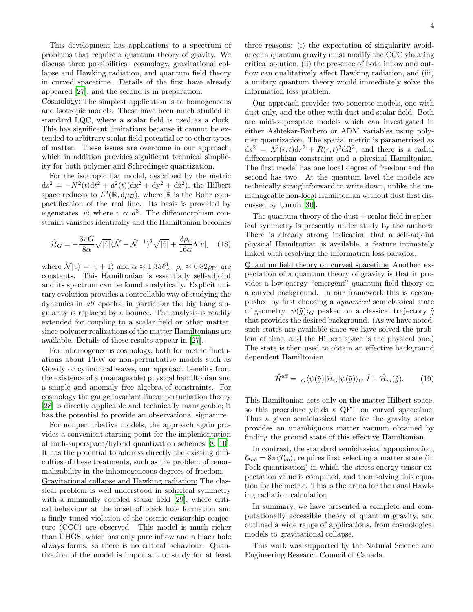4

This development has applications to a spectrum of problems that require a quantum theory of gravity. We discuss three possibilities: cosmology, gravitational collapse and Hawking radiation, and quantum field theory in curved spacetime. Details of the first have already appeared [\[27\]](#page-4-27), and the second is in preparation.

Cosmology: The simplest application is to homogeneous and isotropic models. These have been much studied in standard LQC, where a scalar field is used as a clock. This has significant limitations because it cannot be extended to arbitrary scalar field potential or to other types of matter. These issues are overcome in our approach, which in addition provides significant technical simplicity for both polymer and Schrodinger quantization.

For the isotropic flat model, described by the metric  $ds^{2} = -N^{2}(t)dt^{2} + a^{2}(t)(dx^{2} + dy^{2} + dz^{2}),$  the Hilbert space reduces to  $L^2(\mathbb{R}, d\mu_B)$ , where  $\mathbb R$  is the Bohr compactification of the real line. Its basis is provided by eigenstates  $|v\rangle$  where  $v \propto a^3$ . The diffeomorphism constraint vanishes identically and the Hamiltonian becomes

$$
\hat{\mathcal{H}}_G = -\frac{3\pi G}{8\alpha} \sqrt{|\hat{v}|} (\hat{\mathcal{N}} - \hat{\mathcal{N}}^{-1})^2 \sqrt{|\hat{v}|} + \frac{3\rho_c}{16\alpha} \Lambda |v|, \quad (18)
$$

where  $\hat{\mathcal{N}}|v\rangle = |v+1\rangle$  and  $\alpha \approx 1.35 \ell_{\rm Pl}^3$ ,  $\rho_c \approx 0.82 \rho_{\rm Pl}$  are constants. This Hamiltonian is essentially self-adjoint and its spectrum can be found analytically. Explicit unitary evolution provides a controllable way of studying the dynamics in *all* epochs; in particular the big bang singularity is replaced by a bounce. The analysis is readily extended for coupling to a scalar field or other matter, since polymer realizations of the matter Hamiltonians are available. Details of these results appear in [\[27](#page-4-27)].

For inhomogeneous cosmology, both for metric fluctuations about FRW or non-perturbative models such as Gowdy or cylindrical waves, our approach benefits from the existence of a (manageable) physical hamiltonian and a simple and anomaly free algebra of constraints. For cosmology the gauge invariant linear perturbation theory [\[28\]](#page-4-28) is directly applicable and technically manageable; it has the potential to provide an observational signature.

For nonperturbative models, the approach again provides a convenient starting point for the implementation of midi-superspace/hybrid quantization schemes [\[8,](#page-4-9) [10\]](#page-4-11). It has the potential to address directly the existing difficulties of these treatments, such as the problem of renormalizability in the inhomogeneous degrees of freedom.

Gravitational collapse and Hawking radiation: The classical problem is well understood in spherical symmetry with a minimally coupled scalar field [\[29\]](#page-4-29), where critical behaviour at the onset of black hole formation and a finely tuned violation of the cosmic censorship conjecture (CCC) are observed. This model is much richer than CHGS, which has only pure inflow and a black hole always forms, so there is no critical behaviour. Quantization of the model is important to study for at least

three reasons: (i) the expectation of singularity avoidance in quantum gravity must modify the CCC violating critical solution, (ii) the presence of both inflow and outflow can qualitatively affect Hawking radiation, and (iii) a unitary quantum theory would immediately solve the information loss problem.

Our approach provides two concrete models, one with dust only, and the other with dust and scalar field. Both are midi-superspace models which can investigated in either Ashtekar-Barbero or ADM variables using polymer quantization. The spatial metric is parametrized as  $ds^2 = \Lambda^2(r,t)dr^2 + R(r,t)^2d\Omega^2$ , and there is a radial diffeomorphism constraint and a physical Hamiltonian. The first model has one local degree of freedom and the second has two. At the quantum level the models are technically straightforward to write down, unlike the unmanageable non-local Hamiltonian without dust first discussed by Unruh [\[30\]](#page-4-30).

The quantum theory of the dust  $+$  scalar field in spherical symmetry is presently under study by the authors. There is already strong indication that a self-adjoint physical Hamiltonian is available, a feature intimately linked with resolving the information loss paradox.

Quantum field theory on curved spacetime Another expectation of a quantum theory of gravity is that it provides a low energy "emergent" quantum field theory on a curved background. In our framework this is accomplished by first choosing a *dynamical* semiclassical state of geometry  $|\psi(\tilde{q})\rangle_G$  peaked on a classical trajectory  $\tilde{q}$ that provides the desired background. (As we have noted, such states are available since we have solved the problem of time, and the Hilbert space is the physical one.) The state is then used to obtain an effective background dependent Hamiltonian

$$
\hat{\mathcal{H}}^{\text{eff}} = G \langle \psi(\tilde{g}) | \hat{\mathcal{H}}_G | \psi(\tilde{g}) \rangle_G \hat{I} + \hat{\mathcal{H}}_m(\tilde{g}). \tag{19}
$$

This Hamiltonian acts only on the matter Hilbert space, so this procedure yields a QFT on curved spacetime. Thus a given semiclassical state for the gravity sector provides an unambiguous matter vacuum obtained by finding the ground state of this effective Hamiltonian.

In contrast, the standard semiclassical approximation,  $G_{ab} = 8\pi \langle T_{ab} \rangle$ , requires first selecting a matter state (in Fock quantization) in which the stress-energy tensor expectation value is computed, and then solving this equation for the metric. This is the arena for the usual Hawking radiation calculation.

In summary, we have presented a complete and computationally accessible theory of quantum gravity, and outlined a wide range of applications, from cosmological models to gravitational collapse.

This work was supported by the Natural Science and Engineering Research Council of Canada.